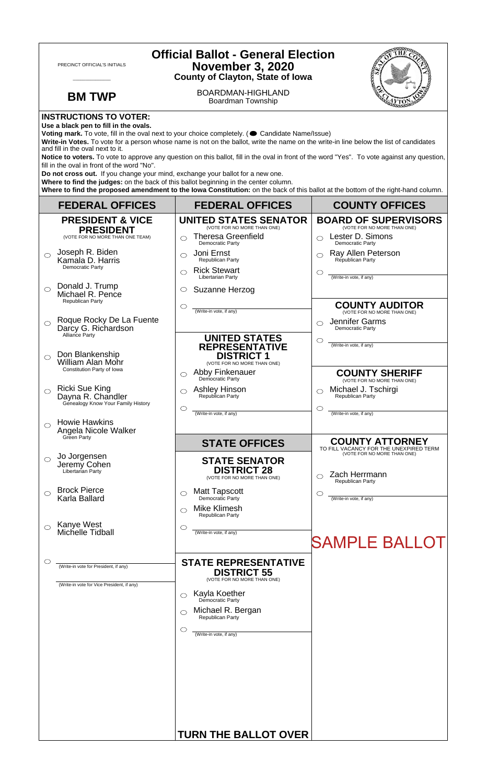| <b>Official Ballot - General Election</b><br>PRECINCT OFFICIAL'S INITIALS<br><b>November 3, 2020</b><br><b>County of Clayton, State of Iowa</b>                                                                                                                                                                                                                                                                                                                                                                                                                                                                                                                                                                                                                                                                                                                      |                                                                                  |                                                             |                                                                       |  |
|----------------------------------------------------------------------------------------------------------------------------------------------------------------------------------------------------------------------------------------------------------------------------------------------------------------------------------------------------------------------------------------------------------------------------------------------------------------------------------------------------------------------------------------------------------------------------------------------------------------------------------------------------------------------------------------------------------------------------------------------------------------------------------------------------------------------------------------------------------------------|----------------------------------------------------------------------------------|-------------------------------------------------------------|-----------------------------------------------------------------------|--|
|                                                                                                                                                                                                                                                                                                                                                                                                                                                                                                                                                                                                                                                                                                                                                                                                                                                                      | <b>BM TWP</b>                                                                    | BOARDMAN-HIGHLAND<br>Boardman Township                      |                                                                       |  |
| <b>INSTRUCTIONS TO VOTER:</b><br>Use a black pen to fill in the ovals.<br>Voting mark. To vote, fill in the oval next to your choice completely. ( Candidate Name/Issue)<br>Write-in Votes. To vote for a person whose name is not on the ballot, write the name on the write-in line below the list of candidates<br>and fill in the oval next to it.<br>Notice to voters. To vote to approve any question on this ballot, fill in the oval in front of the word "Yes". To vote against any question,<br>fill in the oval in front of the word "No".<br>Do not cross out. If you change your mind, exchange your ballot for a new one.<br>Where to find the judges: on the back of this ballot beginning in the center column.<br>Where to find the proposed amendment to the lowa Constitution: on the back of this ballot at the bottom of the right-hand column. |                                                                                  |                                                             |                                                                       |  |
|                                                                                                                                                                                                                                                                                                                                                                                                                                                                                                                                                                                                                                                                                                                                                                                                                                                                      | <b>FEDERAL OFFICES</b>                                                           | <b>FEDERAL OFFICES</b>                                      | <b>COUNTY OFFICES</b>                                                 |  |
|                                                                                                                                                                                                                                                                                                                                                                                                                                                                                                                                                                                                                                                                                                                                                                                                                                                                      | <b>PRESIDENT &amp; VICE</b><br><b>PRESIDENT</b>                                  | <b>UNITED STATES SENATOR</b><br>(VOTE FOR NO MORE THAN ONE) | <b>BOARD OF SUPERVISORS</b><br>(VOTE FOR NO MORE THAN ONE)            |  |
|                                                                                                                                                                                                                                                                                                                                                                                                                                                                                                                                                                                                                                                                                                                                                                                                                                                                      | (VOTE FOR NO MORE THAN ONE TEAM)                                                 | <b>Theresa Greenfield</b><br>$\bigcirc$<br>Democratic Party | Lester D. Simons<br>$\bigcirc$<br>Democratic Party                    |  |
| $\bigcirc$                                                                                                                                                                                                                                                                                                                                                                                                                                                                                                                                                                                                                                                                                                                                                                                                                                                           | Joseph R. Biden<br>Kamala D. Harris                                              | Joni Ernst<br>◯<br>Republican Party                         | Ray Allen Peterson<br>Republican Party                                |  |
|                                                                                                                                                                                                                                                                                                                                                                                                                                                                                                                                                                                                                                                                                                                                                                                                                                                                      | Democratic Party                                                                 | <b>Rick Stewart</b><br>$\bigcirc$<br>Libertarian Party      | (Write-in vote, if any)                                               |  |
| $\bigcirc$                                                                                                                                                                                                                                                                                                                                                                                                                                                                                                                                                                                                                                                                                                                                                                                                                                                           | Donald J. Trump<br>Michael R. Pence                                              | Suzanne Herzog<br>$\circ$                                   |                                                                       |  |
|                                                                                                                                                                                                                                                                                                                                                                                                                                                                                                                                                                                                                                                                                                                                                                                                                                                                      | <b>Republican Party</b>                                                          | $\circ$<br>(Write-in vote, if any)                          | <b>COUNTY AUDITOR</b><br>(VOTE FOR NO MORE THAN ONE)                  |  |
| $\bigcirc$                                                                                                                                                                                                                                                                                                                                                                                                                                                                                                                                                                                                                                                                                                                                                                                                                                                           | Roque Rocky De La Fuente<br>Darcy G. Richardson                                  |                                                             | Jennifer Garms<br>◯<br><b>Democratic Party</b>                        |  |
|                                                                                                                                                                                                                                                                                                                                                                                                                                                                                                                                                                                                                                                                                                                                                                                                                                                                      | Alliance Party                                                                   | <b>UNITED STATES</b><br><b>REPRESENTATIVE</b>               | O<br>(Write-in vote, if any)                                          |  |
| ◯                                                                                                                                                                                                                                                                                                                                                                                                                                                                                                                                                                                                                                                                                                                                                                                                                                                                    | Don Blankenship<br><b>William Alan Mohr</b>                                      | <b>DISTRICT 1</b><br>(VOTE FOR NO MORE THAN ONE)            |                                                                       |  |
|                                                                                                                                                                                                                                                                                                                                                                                                                                                                                                                                                                                                                                                                                                                                                                                                                                                                      | Constitution Party of Iowa                                                       | Abby Finkenauer<br>◯<br>Democratic Party                    | <b>COUNTY SHERIFF</b><br>(VOTE FOR NO MORE THAN ONE)                  |  |
| $\circ$                                                                                                                                                                                                                                                                                                                                                                                                                                                                                                                                                                                                                                                                                                                                                                                                                                                              | <b>Ricki Sue King</b><br>Dayna R. Chandler<br>Genealogy Know Your Family History | <b>Ashley Hinson</b><br>Republican Party                    | Michael J. Tschirgi<br>◯<br>Republican Party                          |  |
|                                                                                                                                                                                                                                                                                                                                                                                                                                                                                                                                                                                                                                                                                                                                                                                                                                                                      | <b>Howie Hawkins</b>                                                             | O<br>(Write-in vote, if any)                                | O<br>(Write-in vote, if any)                                          |  |
|                                                                                                                                                                                                                                                                                                                                                                                                                                                                                                                                                                                                                                                                                                                                                                                                                                                                      | Angela Nicole Walker<br>Green Party                                              | <b>STATE OFFICES</b>                                        | <b>COUNTY ATTORNEY</b>                                                |  |
| $\circ$                                                                                                                                                                                                                                                                                                                                                                                                                                                                                                                                                                                                                                                                                                                                                                                                                                                              | Jo Jorgensen                                                                     | <b>STATE SENATOR</b>                                        | TO FILL VACANCY FOR THE UNEXPIRED TERM<br>(VOTE FOR NO MORE THAN ONE) |  |
|                                                                                                                                                                                                                                                                                                                                                                                                                                                                                                                                                                                                                                                                                                                                                                                                                                                                      | Jeremy Cohen<br>Libertarian Party                                                | <b>DISTRICT 28</b><br>(VOTE FOR NO MORE THAN ONE)           | Zach Herrmann<br>Republican Party                                     |  |
| ◯                                                                                                                                                                                                                                                                                                                                                                                                                                                                                                                                                                                                                                                                                                                                                                                                                                                                    | <b>Brock Pierce</b><br>Karla Ballard                                             | <b>Matt Tapscott</b><br>◯<br>Democratic Party               | ◯<br>(Write-in vote, if any)                                          |  |
|                                                                                                                                                                                                                                                                                                                                                                                                                                                                                                                                                                                                                                                                                                                                                                                                                                                                      |                                                                                  | Mike Klimesh<br>⌒<br><b>Republican Party</b>                |                                                                       |  |
| $\bigcirc$                                                                                                                                                                                                                                                                                                                                                                                                                                                                                                                                                                                                                                                                                                                                                                                                                                                           | Kanye West<br>Michelle Tidball                                                   | O<br>(Write-in vote, if any)                                |                                                                       |  |
|                                                                                                                                                                                                                                                                                                                                                                                                                                                                                                                                                                                                                                                                                                                                                                                                                                                                      |                                                                                  |                                                             | <b>SAMPLE BALLOT</b>                                                  |  |
| O                                                                                                                                                                                                                                                                                                                                                                                                                                                                                                                                                                                                                                                                                                                                                                                                                                                                    | (Write-in vote for President, if any)                                            | <b>STATE REPRESENTATIVE</b>                                 |                                                                       |  |
|                                                                                                                                                                                                                                                                                                                                                                                                                                                                                                                                                                                                                                                                                                                                                                                                                                                                      | (Write-in vote for Vice President, if any)                                       | <b>DISTRICT 55</b><br>(VOTE FOR NO MORE THAN ONE)           |                                                                       |  |
|                                                                                                                                                                                                                                                                                                                                                                                                                                                                                                                                                                                                                                                                                                                                                                                                                                                                      |                                                                                  | Kayla Koether<br>Democratic Party<br>$\circ$                |                                                                       |  |
|                                                                                                                                                                                                                                                                                                                                                                                                                                                                                                                                                                                                                                                                                                                                                                                                                                                                      |                                                                                  | Michael R. Bergan<br>◯<br>Republican Party                  |                                                                       |  |
|                                                                                                                                                                                                                                                                                                                                                                                                                                                                                                                                                                                                                                                                                                                                                                                                                                                                      |                                                                                  | $\circlearrowright$<br>(Write-in vote, if any)              |                                                                       |  |
|                                                                                                                                                                                                                                                                                                                                                                                                                                                                                                                                                                                                                                                                                                                                                                                                                                                                      |                                                                                  |                                                             |                                                                       |  |
|                                                                                                                                                                                                                                                                                                                                                                                                                                                                                                                                                                                                                                                                                                                                                                                                                                                                      |                                                                                  |                                                             |                                                                       |  |
|                                                                                                                                                                                                                                                                                                                                                                                                                                                                                                                                                                                                                                                                                                                                                                                                                                                                      |                                                                                  |                                                             |                                                                       |  |
|                                                                                                                                                                                                                                                                                                                                                                                                                                                                                                                                                                                                                                                                                                                                                                                                                                                                      |                                                                                  |                                                             |                                                                       |  |
|                                                                                                                                                                                                                                                                                                                                                                                                                                                                                                                                                                                                                                                                                                                                                                                                                                                                      |                                                                                  |                                                             |                                                                       |  |
|                                                                                                                                                                                                                                                                                                                                                                                                                                                                                                                                                                                                                                                                                                                                                                                                                                                                      |                                                                                  | <b>TURN THE BALLOT OVER</b>                                 |                                                                       |  |